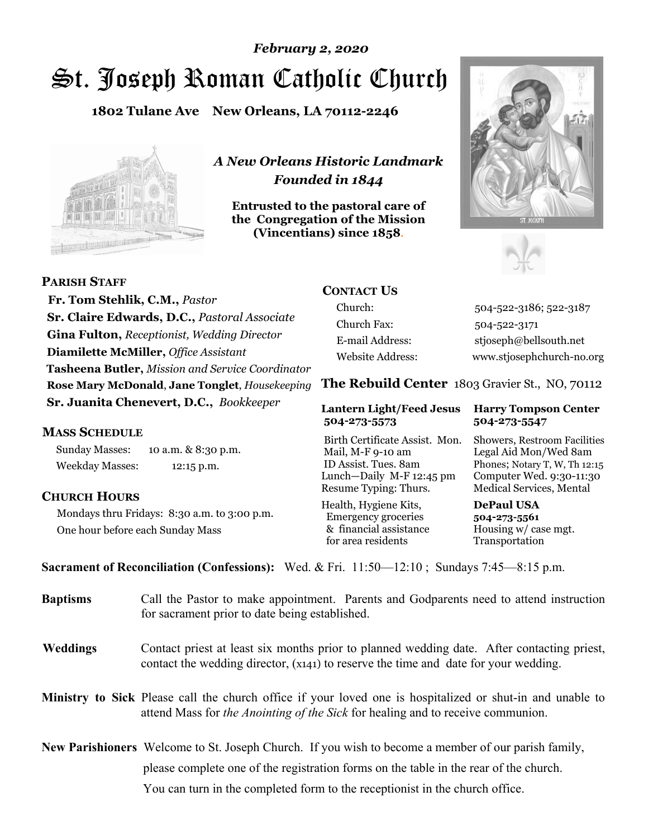# St. Joseph Roman Catholic Church *February 2, 2020*

**1802 Tulane Ave New Orleans, LA 70112-2246**



*A New Orleans Historic Landmark Founded in 1844* 

**Entrusted to the pastoral care of the Congregation of the Mission (Vincentians) since 1858**.





 **Fr. Tom Stehlik, C.M.,** *Pastor* **Sr. Claire Edwards, D.C.,** *Pastoral Associate* **Gina Fulton,** *Receptionist, Wedding Director* **Diamilette McMiller,** *Office Assistant* **Tasheena Butler,** *Mission and Service Coordinator* **Rose Mary McDonald**, **Jane Tonglet**, *Housekeeping* **Sr. Juanita Chenevert, D.C.,** *Bookkeeper* 

### **MASS SCHEDULE**

**PARISH STAFF**

Sunday Masses: 10 a.m. & 8:30 p.m. Weekday Masses: 12:15 p.m.

### **CHURCH HOURS**

Mondays thru Fridays: 8:30 a.m. to 3:00 p.m. One hour before each Sunday Mass

## **CONTACT US**

Church: 504-522-3186; 522-3187 Church Fax: 504-522-3171 E-mail Address: stjoseph@bellsouth.net Website Address: www.stjosephchurch-no.org

**The Rebuild Center** 1803 Gravier St., NO, 70112

#### **Lantern Light/Feed Jesus Harry Tompson Center 504-273-5573 504-273-5547**

Birth Certificate Assist. Mon. Showers, Restroom Facilities Mail, M-F 9-10 am Legal Aid Mon/Wed 8am ID Assist. Tues. 8am Phones; Notary T, W, Th 12:15 Lunch—Daily M-F 12:45 pm Computer Wed. 9:30-11:30 Resume Typing: Thurs. Medical Services, Mental

Health, Hygiene Kits, **DePaul USA**  Emergency groceries **504-273-5561** & financial assistance Housing w/ case mgt. for area residents Transportation

**Sacrament of Reconciliation (Confessions):** Wed. & Fri. 11:50—12:10 ; Sundays 7:45—8:15 p.m.

| <b>Baptisms</b> | Call the Pastor to make appointment. Parents and Godparents need to attend instruction<br>for sacrament prior to date being established.                                                            |  |
|-----------------|-----------------------------------------------------------------------------------------------------------------------------------------------------------------------------------------------------|--|
| <b>Weddings</b> | Contact priest at least six months prior to planned wedding date. After contacting priest,<br>contact the wedding director, (x141) to reserve the time and date for your wedding.                   |  |
|                 | <b>Ministry to Sick</b> Please call the church office if your loved one is hospitalized or shut-in and unable to<br>attend Mass for the Anointing of the Sick for healing and to receive communion. |  |
|                 | <b>New Parishioners</b> Welcome to St. Joseph Church. If you wish to become a member of our parish family,                                                                                          |  |
|                 | please complete one of the registration forms on the table in the rear of the church.                                                                                                               |  |
|                 | You can turn in the completed form to the reception is the church office.                                                                                                                           |  |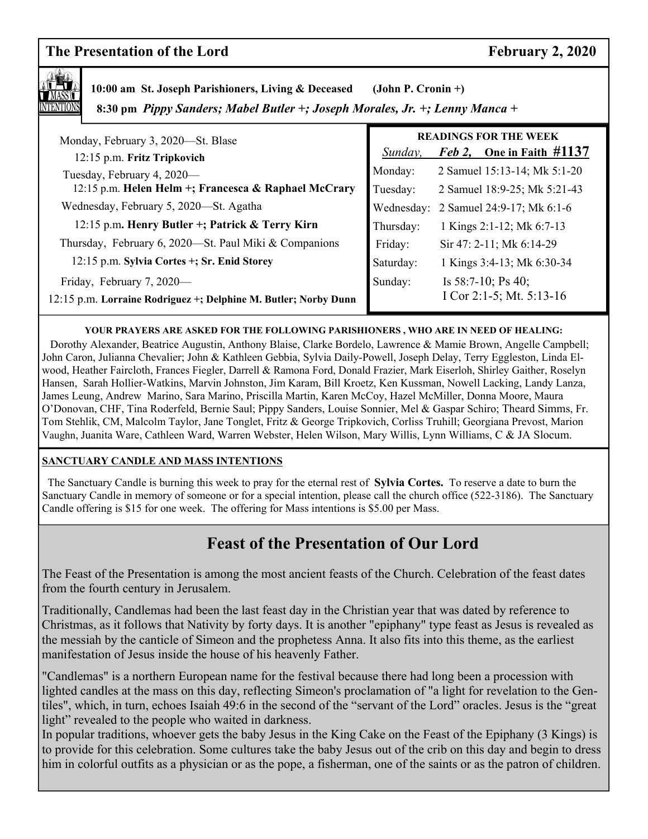## **The Presentation of the Lord February 2, 2020**



 **10:00 am St. Joseph Parishioners, Living & Deceased (John P. Cronin +)**

 **8:30 pm** *Pippy Sanders; Mabel Butler +; Joseph Morales, Jr. +; Lenny Manca +*

| Monday, February 3, 2020—St. Blase                              | <b>READINGS FOR THE WEEK</b> |                                       |
|-----------------------------------------------------------------|------------------------------|---------------------------------------|
| 12:15 p.m. Fritz Tripkovich                                     | Sunday,                      | <i>Feb 2</i> , One in Faith $\#1137$  |
| Tuesday, February 4, 2020-                                      | Monday:                      | 2 Samuel 15:13-14; Mk 5:1-20          |
| 12:15 p.m. Helen Helm +; Francesca & Raphael McCrary            | Tuesday:                     | 2 Samuel 18:9-25; Mk 5:21-43          |
| Wednesday, February 5, 2020—St. Agatha                          |                              | Wednesday: 2 Samuel 24:9-17; Mk 6:1-6 |
| 12:15 p.m. Henry Butler +; Patrick & Terry Kirn                 | Thursday:                    | 1 Kings 2:1-12; Mk 6:7-13             |
| Thursday, February 6, 2020-St. Paul Miki & Companions           | Friday:                      | Sir 47: 2-11; Mk 6:14-29              |
| 12:15 p.m. Sylvia Cortes +; Sr. Enid Storey                     | Saturday:                    | 1 Kings 3:4-13; Mk 6:30-34            |
| Friday, February 7, 2020—                                       | Sunday:                      | Is $58:7-10$ ; Ps 40;                 |
| 12:15 p.m. Lorraine Rodriguez +; Delphine M. Butler; Norby Dunn |                              | I Cor 2:1-5; Mt. $5:13-16$            |
|                                                                 |                              |                                       |

**YOUR PRAYERS ARE ASKED FOR THE FOLLOWING PARISHIONERS , WHO ARE IN NEED OF HEALING:** 

 Dorothy Alexander, Beatrice Augustin, Anthony Blaise, Clarke Bordelo, Lawrence & Mamie Brown, Angelle Campbell; John Caron, Julianna Chevalier; John & Kathleen Gebbia, Sylvia Daily-Powell, Joseph Delay, Terry Eggleston, Linda Elwood, Heather Faircloth, Frances Fiegler, Darrell & Ramona Ford, Donald Frazier, Mark Eiserloh, Shirley Gaither, Roselyn Hansen, Sarah Hollier-Watkins, Marvin Johnston, Jim Karam, Bill Kroetz, Ken Kussman, Nowell Lacking, Landy Lanza, James Leung, Andrew Marino, Sara Marino, Priscilla Martin, Karen McCoy, Hazel McMiller, Donna Moore, Maura O'Donovan, CHF, Tina Roderfeld, Bernie Saul; Pippy Sanders, Louise Sonnier, Mel & Gaspar Schiro; Theard Simms, Fr. Tom Stehlik, CM, Malcolm Taylor, Jane Tonglet, Fritz & George Tripkovich, Corliss Truhill; Georgiana Prevost, Marion Vaughn, Juanita Ware, Cathleen Ward, Warren Webster, Helen Wilson, Mary Willis, Lynn Williams, C & JA Slocum.

#### **SANCTUARY CANDLE AND MASS INTENTIONS**

 The Sanctuary Candle is burning this week to pray for the eternal rest of **Sylvia Cortes.** To reserve a date to burn the Sanctuary Candle in memory of someone or for a special intention, please call the church office (522-3186). The Sanctuary Candle offering is \$15 for one week. The offering for Mass intentions is \$5.00 per Mass.

## **Feast of the Presentation of Our Lord**

The Feast of the Presentation is among the most ancient feasts of the Church. Celebration of the feast dates from the fourth century in Jerusalem.

Traditionally, Candlemas had been the last feast day in the Christian year that was dated by reference to Christmas, as it follows that Nativity by forty days. It is another "epiphany" type feast as Jesus is revealed as the messiah by the canticle of Simeon and the prophetess Anna. It also fits into this theme, as the earliest manifestation of Jesus inside the house of his heavenly Father.

"Candlemas" is a northern European name for the festival because there had long been a procession with lighted candles at the mass on this day, reflecting Simeon's proclamation of "a light for revelation to the Gentiles", which, in turn, echoes Isaiah 49:6 in the second of the "servant of the Lord" oracles. Jesus is the "great light" revealed to the people who waited in darkness.

In popular traditions, whoever gets the baby Jesus in the King Cake on the Feast of the Epiphany (3 Kings) is to provide for this celebration. Some cultures take the baby Jesus out of the crib on this day and begin to dress him in colorful outfits as a physician or as the pope, a fisherman, one of the saints or as the patron of children.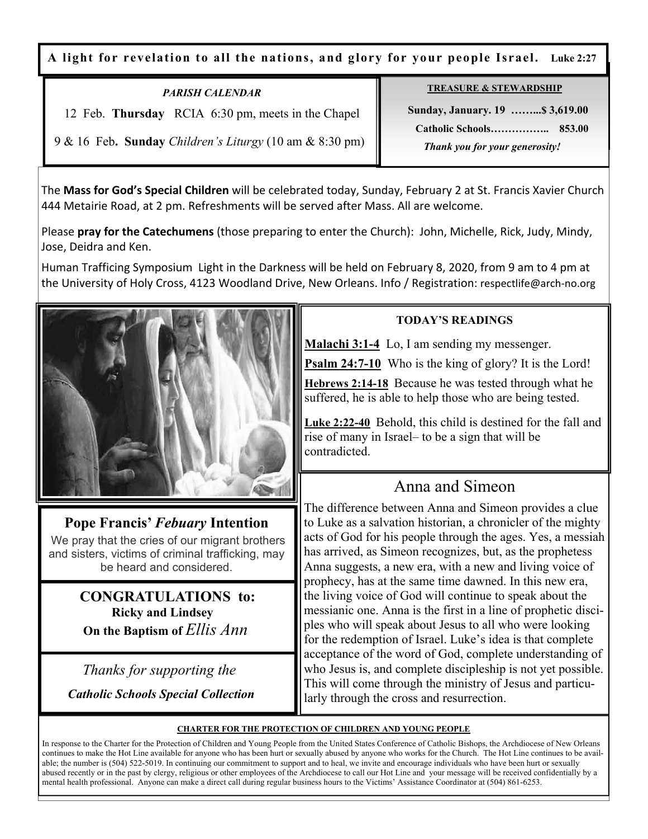**A light for revelation to all the nations, and glory for your people Israel. Luke 2:27**

*PARISH CALENDAR*  12 Feb. **Thursday** RCIA 6:30 pm, meets in the Chapel

## **TREASURE & STEWARDSHIP**

 **Sunday, January. 19 ……...\$ 3,619.00 Catholic Schools…………….. 853.00**   *Thank you for your generosity!* 

9 & 16 Feb**. Sunday** *Children's Liturgy* (10 am & 8:30 pm)

The **Mass for God's Special Children** will be celebrated today, Sunday, February 2 at St. Francis Xavier Church 444 Metairie Road, at 2 pm. Refreshments will be served after Mass. All are welcome.

Please **pray for the Catechumens** (those preparing to enter the Church): John, Michelle, Rick, Judy, Mindy, Jose, Deidra and Ken.

Human Trafficing Symposium Light in the Darkness will be held on February 8, 2020, from 9 am to 4 pm at the University of Holy Cross, 4123 Woodland Drive, New Orleans. Info / Registration: respectlife@arch-no.org



## **Pope Francis'** *Febuary* **Intention**

We pray that the cries of our migrant brothers and sisters, victims of criminal trafficking, may be heard and considered.

> **CONGRATULATIONS to: Ricky and Lindsey On the Baptism of** *Ellis Ann*

 *Thanks for supporting the Catholic Schools Special Collection*

## **TODAY'S READINGS**

**Malachi 3:1-4** Lo, I am sending my messenger.

**Psalm 24:7-10** Who is the king of glory? It is the Lord!

**Hebrews 2:14-18** Because he was tested through what he suffered, he is able to help those who are being tested.

**Luke 2:22-40** Behold, this child is destined for the fall and rise of many in Israel– to be a sign that will be contradicted.

## Anna and Simeon

The difference between Anna and Simeon provides a clue to Luke as a salvation historian, a chronicler of the mighty acts of God for his people through the ages. Yes, a messiah has arrived, as Simeon recognizes, but, as the prophetess Anna suggests, a new era, with a new and living voice of prophecy, has at the same time dawned. In this new era, the living voice of God will continue to speak about the messianic one. Anna is the first in a line of prophetic disciples who will speak about Jesus to all who were looking for the redemption of Israel. Luke's idea is that complete acceptance of the word of God, complete understanding of who Jesus is, and complete discipleship is not yet possible. This will come through the ministry of Jesus and particularly through the cross and resurrection.

### **CHARTER FOR THE PROTECTION OF CHILDREN AND YOUNG PEOPLE**

In response to the Charter for the Protection of Children and Young People from the United States Conference of Catholic Bishops, the Archdiocese of New Orleans continues to make the Hot Line available for anyone who has been hurt or sexually abused by anyone who works for the Church. The Hot Line continues to be available; the number is (504) 522-5019. In continuing our commitment to support and to heal, we invite and encourage individuals who have been hurt or sexually abused recently or in the past by clergy, religious or other employees of the Archdiocese to call our Hot Line and your message will be received confidentially by a mental health professional. Anyone can make a direct call during regular business hours to the Victims' Assistance Coordinator at (504) 861-6253.